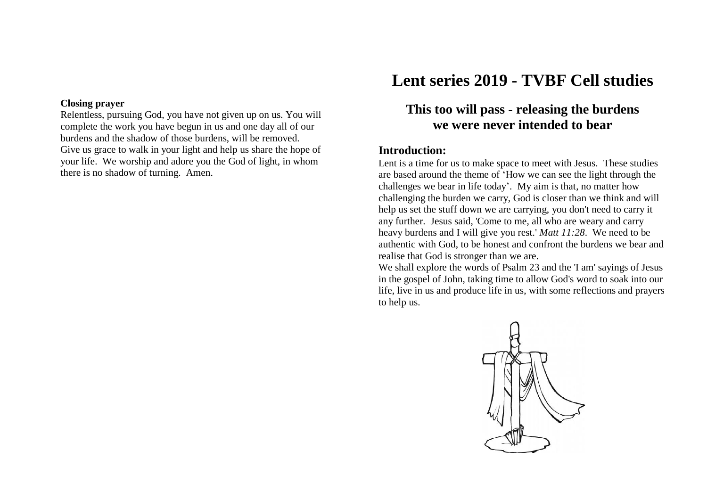#### **Closing prayer**

Relentless, pursuing God, you have not given up on us. You will complete the work you have begun in us and one day all of our burdens and the shadow of those burdens, will be removed. Give us grace to walk in your light and help us share the hope of your life. We worship and adore you the God of light, in whom there is no shadow of turning. Amen.

# **Lent series 2019 - TVBF Cell studies**

# **This too will pass - releasing the burdens we were never intended to bear**

#### **Introduction:**

Lent is a time for us to make space to meet with Jesus. These studies are based around the theme of 'How we can see the light through the challenges we bear in life today'. My aim is that, no matter how challenging the burden we carry, God is closer than we think and will help us set the stuff down we are carrying, you don't need to carry it any further. Jesus said, 'Come to me, all who are weary and carry heavy burdens and I will give you rest.' *Matt 11:28*. We need to be authentic with God, to be honest and confront the burdens we bear and realise that God is stronger than we are.

We shall explore the words of Psalm 23 and the 'I am' sayings of Jesus in the gospel of John, taking time to allow God's word to soak into our life, live in us and produce life in us, with some reflections and prayers to help us.

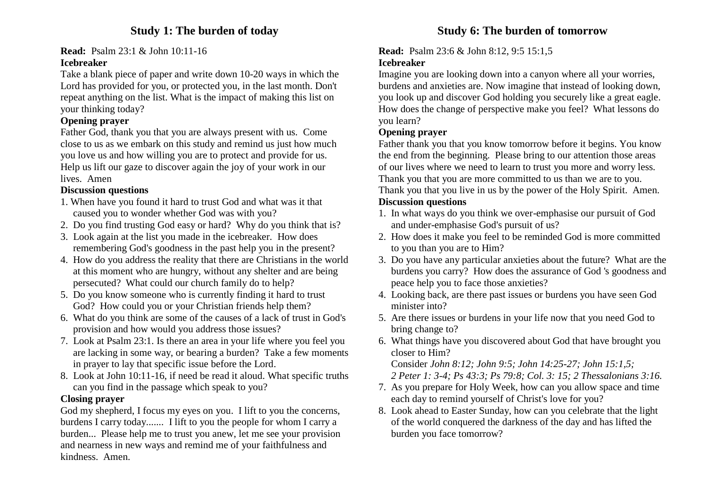# **Study 1: The burden of today**

**Read:** Psalm 23:1 & John 10:11-16

#### **Icebreaker**

Take a blank piece of paper and write down 10-20 ways in which the Lord has provided for you, or protected you, in the last month. Don't repeat anything on the list. What is the impact of making this list on your thinking today?

# **Opening prayer**

Father God, thank you that you are always present with us. Come close to us as we embark on this study and remind us just how much you love us and how willing you are to protect and provide for us. Help us lift our gaze to discover again the joy of your work in our lives. Amen

# **Discussion questions**

- 1. When have you found it hard to trust God and what was it that caused you to wonder whether God was with you?
- 2. Do you find trusting God easy or hard? Why do you think that is?
- 3. Look again at the list you made in the icebreaker. How does remembering God's goodness in the past help you in the present?
- 4. How do you address the reality that there are Christians in the world at this moment who are hungry, without any shelter and are being persecuted? What could our church family do to help?
- 5. Do you know someone who is currently finding it hard to trust God? How could you or your Christian friends help them?
- 6. What do you think are some of the causes of a lack of trust in God's provision and how would you address those issues?
- 7. Look at Psalm 23:1. Is there an area in your life where you feel you are lacking in some way, or bearing a burden? Take a few moments in prayer to lay that specific issue before the Lord.
- 8. Look at John 10:11-16, if need be read it aloud. What specific truths can you find in the passage which speak to you?

# **Closing prayer**

God my shepherd, I focus my eyes on you. I lift to you the concerns, burdens I carry today....... I lift to you the people for whom I carry a burden... Please help me to trust you anew, let me see your provision and nearness in new ways and remind me of your faithfulness and kindness. Amen.

## **Read:** Psalm 23:6 & John 8:12, 9:5 15:1,5

# **Icebreaker**

Imagine you are looking down into a canyon where all your worries, burdens and anxieties are. Now imagine that instead of looking down, you look up and discover God holding you securely like a great eagle. How does the change of perspective make you feel? What lessons do you learn?

# **Opening prayer**

Father thank you that you know tomorrow before it begins. You know the end from the beginning. Please bring to our attention those areas of our lives where we need to learn to trust you more and worry less. Thank you that you are more committed to us than we are to you. Thank you that you live in us by the power of the Holy Spirit. Amen. **Discussion questions**

- 1. In what ways do you think we over-emphasise our pursuit of God and under-emphasise God's pursuit of us?
- 2. How does it make you feel to be reminded God is more committed to you than you are to Him?
- 3. Do you have any particular anxieties about the future? What are the burdens you carry? How does the assurance of God 's goodness and peace help you to face those anxieties?
- 4. Looking back, are there past issues or burdens you have seen God minister into?
- 5. Are there issues or burdens in your life now that you need God to bring change to?
- 6. What things have you discovered about God that have brought you closer to Him?

Consider *John 8:12; John 9:5; John 14:25-27; John 15:1,5;* 

 *2 Peter 1: 3-4; Ps 43:3; Ps 79:8; Col. 3: 15; 2 Thessalonians 3:16.*

- 7. As you prepare for Holy Week, how can you allow space and time each day to remind yourself of Christ's love for you?
- 8. Look ahead to Easter Sunday, how can you celebrate that the light of the world conquered the darkness of the day and has lifted the burden you face tomorrow?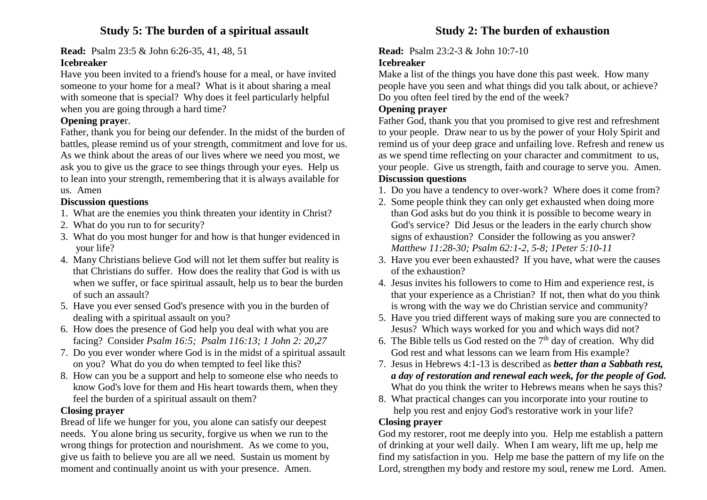# **Study 5: The burden of a spiritual assault**

#### **Read:** Psalm 23:5 & John 6:26-35, 41, 48, 51

#### **Icebreaker**

Have you been invited to a friend's house for a meal, or have invited someone to your home for a meal? What is it about sharing a meal with someone that is special? Why does it feel particularly helpful when you are going through a hard time?

## **Opening praye**r.

Father, thank you for being our defender. In the midst of the burden of battles, please remind us of your strength, commitment and love for us. As we think about the areas of our lives where we need you most, we ask you to give us the grace to see things through your eyes. Help us to lean into your strength, remembering that it is always available for us. Amen

## **Discussion questions**

- 1. What are the enemies you think threaten your identity in Christ?
- 2. What do you run to for security?
- 3. What do you most hunger for and how is that hunger evidenced in your life?
- 4. Many Christians believe God will not let them suffer but reality is that Christians do suffer. How does the reality that God is with us when we suffer, or face spiritual assault, help us to bear the burden of such an assault?
- 5. Have you ever sensed God's presence with you in the burden of dealing with a spiritual assault on you?
- 6. How does the presence of God help you deal with what you are facing? Consider *Psalm 16:5; Psalm 116:13; 1 John 2: 20,27*
- 7. Do you ever wonder where God is in the midst of a spiritual assault on you? What do you do when tempted to feel like this?
- 8. How can you be a support and help to someone else who needs to know God's love for them and His heart towards them, when they feel the burden of a spiritual assault on them?

## **Closing prayer**

Bread of life we hunger for you, you alone can satisfy our deepest needs. You alone bring us security, forgive us when we run to the wrong things for protection and nourishment. As we come to you, give us faith to believe you are all we need. Sustain us moment by moment and continually anoint us with your presence. Amen.

**Read:** Psalm 23:2-3 & John 10:7-10

# **Icebreaker**

Make a list of the things you have done this past week. How many people have you seen and what things did you talk about, or achieve? Do you often feel tired by the end of the week?

## **Opening prayer**

Father God, thank you that you promised to give rest and refreshment to your people. Draw near to us by the power of your Holy Spirit and remind us of your deep grace and unfailing love. Refresh and renew us as we spend time reflecting on your character and commitment to us, your people. Give us strength, faith and courage to serve you. Amen. **Discussion questions**

- 1. Do you have a tendency to over-work? Where does it come from?
- 2. Some people think they can only get exhausted when doing more than God asks but do you think it is possible to become weary in God's service? Did Jesus or the leaders in the early church show signs of exhaustion? Consider the following as you answer? *Matthew 11:28-30; Psalm 62:1-2, 5-8; 1Peter 5:10-11*
- 3. Have you ever been exhausted? If you have, what were the causes of the exhaustion?
- 4. Jesus invites his followers to come to Him and experience rest, is that your experience as a Christian? If not, then what do you think is wrong with the way we do Christian service and community?
- 5. Have you tried different ways of making sure you are connected to Jesus? Which ways worked for you and which ways did not?
- 6. The Bible tells us God rested on the  $7<sup>th</sup>$  day of creation. Why did God rest and what lessons can we learn from His example?
- 7. Jesus in Hebrews 4:1-13 is described as *better than a Sabbath rest, a day of restoration and renewal each week, for the people of God.* What do you think the writer to Hebrews means when he says this?
- 8. What practical changes can you incorporate into your routine to help you rest and enjoy God's restorative work in your life?

## **Closing prayer**

God my restorer, root me deeply into you. Help me establish a pattern of drinking at your well daily. When I am weary, lift me up, help me find my satisfaction in you. Help me base the pattern of my life on the Lord, strengthen my body and restore my soul, renew me Lord. Amen.